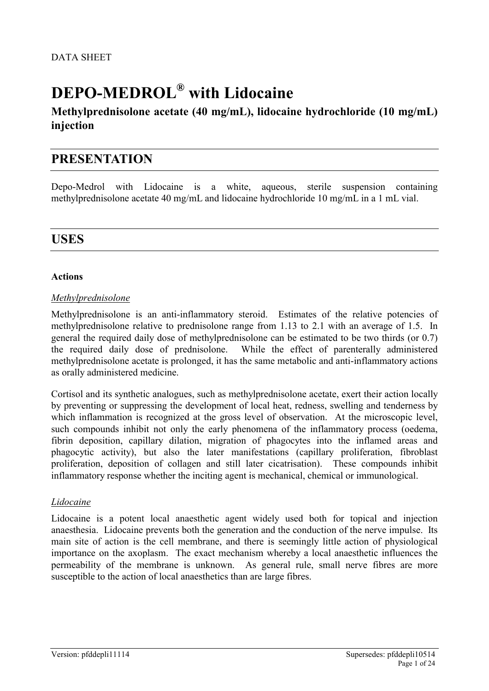# **DEPO-MEDROL® with Lidocaine**

### **Methylprednisolone acetate (40 mg/mL), lidocaine hydrochloride (10 mg/mL) injection**

### **PRESENTATION**

Depo-Medrol with Lidocaine is a white, aqueous, sterile suspension containing methylprednisolone acetate 40 mg/mL and lidocaine hydrochloride 10 mg/mL in a 1 mL vial.

### **USES**

#### **Actions**

#### *Methylprednisolone*

Methylprednisolone is an anti-inflammatory steroid. Estimates of the relative potencies of methylprednisolone relative to prednisolone range from 1.13 to 2.1 with an average of 1.5. In general the required daily dose of methylprednisolone can be estimated to be two thirds (or 0.7) the required daily dose of prednisolone. While the effect of parenterally administered methylprednisolone acetate is prolonged, it has the same metabolic and anti-inflammatory actions as orally administered medicine.

Cortisol and its synthetic analogues, such as methylprednisolone acetate, exert their action locally by preventing or suppressing the development of local heat, redness, swelling and tenderness by which inflammation is recognized at the gross level of observation. At the microscopic level, such compounds inhibit not only the early phenomena of the inflammatory process (oedema, fibrin deposition, capillary dilation, migration of phagocytes into the inflamed areas and phagocytic activity), but also the later manifestations (capillary proliferation, fibroblast proliferation, deposition of collagen and still later cicatrisation). These compounds inhibit inflammatory response whether the inciting agent is mechanical, chemical or immunological.

#### *Lidocaine*

Lidocaine is a potent local anaesthetic agent widely used both for topical and injection anaesthesia. Lidocaine prevents both the generation and the conduction of the nerve impulse. Its main site of action is the cell membrane, and there is seemingly little action of physiological importance on the axoplasm. The exact mechanism whereby a local anaesthetic influences the permeability of the membrane is unknown. As general rule, small nerve fibres are more susceptible to the action of local anaesthetics than are large fibres.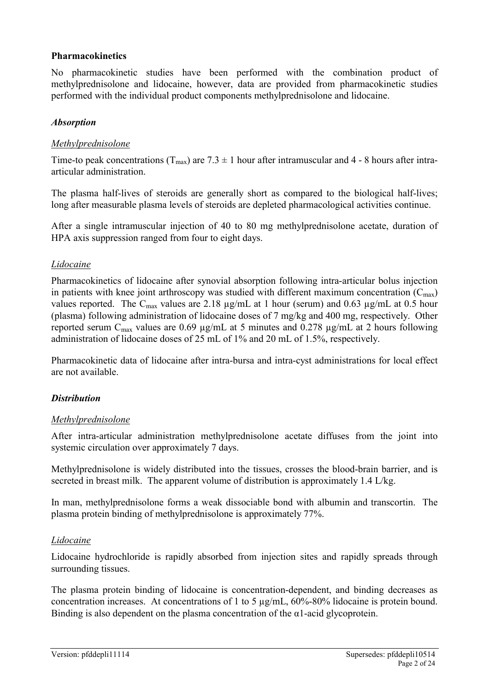#### **Pharmacokinetics**

No pharmacokinetic studies have been performed with the combination product of methylprednisolone and lidocaine, however, data are provided from pharmacokinetic studies performed with the individual product components methylprednisolone and lidocaine.

#### *Absorption*

#### *Methylprednisolone*

Time-to peak concentrations ( $T_{max}$ ) are 7.3  $\pm$  1 hour after intramuscular and 4 - 8 hours after intraarticular administration.

The plasma half-lives of steroids are generally short as compared to the biological half-lives; long after measurable plasma levels of steroids are depleted pharmacological activities continue.

After a single intramuscular injection of 40 to 80 mg methylprednisolone acetate, duration of HPA axis suppression ranged from four to eight days.

#### *Lidocaine*

Pharmacokinetics of lidocaine after synovial absorption following intra-articular bolus injection in patients with knee joint arthroscopy was studied with different maximum concentration  $(C_{\text{max}})$ values reported. The C<sub>max</sub> values are 2.18  $\mu$ g/mL at 1 hour (serum) and 0.63  $\mu$ g/mL at 0.5 hour (plasma) following administration of lidocaine doses of 7 mg/kg and 400 mg, respectively. Other reported serum C<sub>max</sub> values are 0.69  $\mu$ g/mL at 5 minutes and 0.278  $\mu$ g/mL at 2 hours following administration of lidocaine doses of 25 mL of 1% and 20 mL of 1.5%, respectively.

Pharmacokinetic data of lidocaine after intra-bursa and intra-cyst administrations for local effect are not available.

#### *Distribution*

#### *Methylprednisolone*

After intra-articular administration methylprednisolone acetate diffuses from the joint into systemic circulation over approximately 7 days.

Methylprednisolone is widely distributed into the tissues, crosses the blood-brain barrier, and is secreted in breast milk. The apparent volume of distribution is approximately 1.4 L/kg.

In man, methylprednisolone forms a weak dissociable bond with albumin and transcortin. The plasma protein binding of methylprednisolone is approximately 77%.

#### *Lidocaine*

Lidocaine hydrochloride is rapidly absorbed from injection sites and rapidly spreads through surrounding tissues.

The plasma protein binding of lidocaine is concentration-dependent, and binding decreases as concentration increases. At concentrations of 1 to 5 µg/mL, 60%-80% lidocaine is protein bound. Binding is also dependent on the plasma concentration of the  $\alpha$ 1-acid glycoprotein.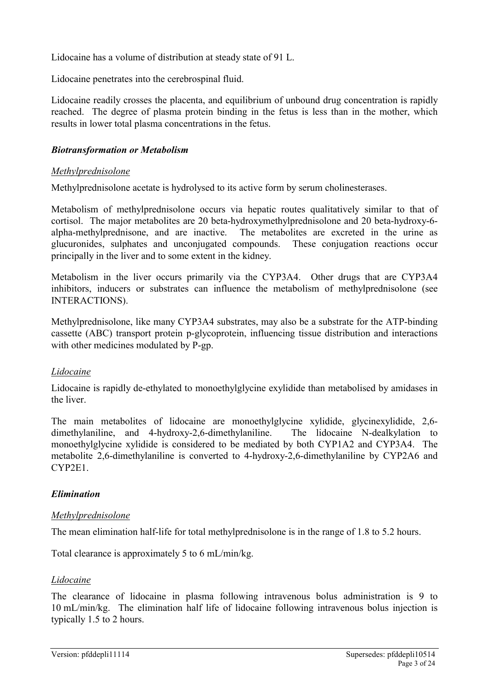Lidocaine has a volume of distribution at steady state of 91 L.

Lidocaine penetrates into the cerebrospinal fluid.

Lidocaine readily crosses the placenta, and equilibrium of unbound drug concentration is rapidly reached. The degree of plasma protein binding in the fetus is less than in the mother, which results in lower total plasma concentrations in the fetus.

#### *Biotransformation or Metabolism*

#### *Methylprednisolone*

Methylprednisolone acetate is hydrolysed to its active form by serum cholinesterases.

Metabolism of methylprednisolone occurs via hepatic routes qualitatively similar to that of cortisol. The major metabolites are 20 beta-hydroxymethylprednisolone and 20 beta-hydroxy-6 alpha-methylprednisone, and are inactive. The metabolites are excreted in the urine as glucuronides, sulphates and unconjugated compounds. These conjugation reactions occur principally in the liver and to some extent in the kidney.

Metabolism in the liver occurs primarily via the CYP3A4. Other drugs that are CYP3A4 inhibitors, inducers or substrates can influence the metabolism of methylprednisolone (see INTERACTIONS).

Methylprednisolone, like many CYP3A4 substrates, may also be a substrate for the ATP-binding cassette (ABC) transport protein p-glycoprotein, influencing tissue distribution and interactions with other medicines modulated by P-gp.

#### *Lidocaine*

Lidocaine is rapidly de-ethylated to monoethylglycine exylidide than metabolised by amidases in the liver.

The main metabolites of lidocaine are monoethylglycine xylidide, glycinexylidide, 2,6 dimethylaniline, and 4-hydroxy-2,6-dimethylaniline. The lidocaine N-dealkylation to monoethylglycine xylidide is considered to be mediated by both CYP1A2 and CYP3A4. The metabolite 2,6-dimethylaniline is converted to 4-hydroxy-2,6-dimethylaniline by CYP2A6 and CYP2E1.

#### *Elimination*

#### *Methylprednisolone*

The mean elimination half-life for total methylprednisolone is in the range of 1.8 to 5.2 hours.

Total clearance is approximately 5 to 6 mL/min/kg.

#### *Lidocaine*

The clearance of lidocaine in plasma following intravenous bolus administration is 9 to 10 mL/min/kg. The elimination half life of lidocaine following intravenous bolus injection is typically 1.5 to 2 hours.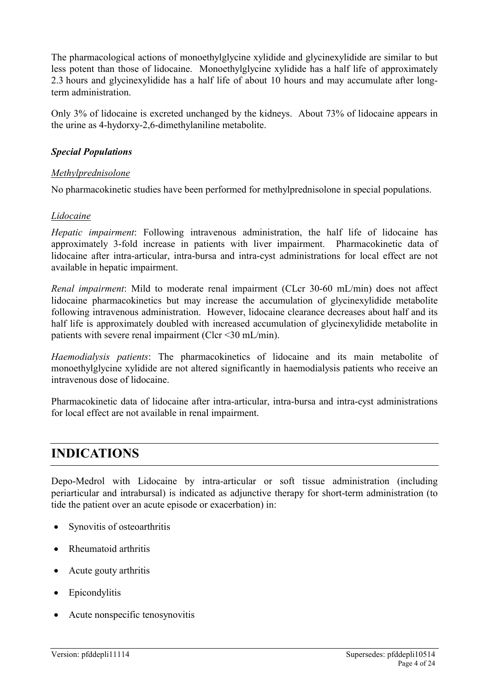The pharmacological actions of monoethylglycine xylidide and glycinexylidide are similar to but less potent than those of lidocaine. Monoethylglycine xylidide has a half life of approximately 2.3 hours and glycinexylidide has a half life of about 10 hours and may accumulate after longterm administration.

Only 3% of lidocaine is excreted unchanged by the kidneys. About 73% of lidocaine appears in the urine as 4-hydorxy-2,6-dimethylaniline metabolite.

#### *Special Populations*

#### *Methylprednisolone*

No pharmacokinetic studies have been performed for methylprednisolone in special populations.

#### *Lidocaine*

*Hepatic impairment*: Following intravenous administration, the half life of lidocaine has approximately 3-fold increase in patients with liver impairment. Pharmacokinetic data of lidocaine after intra-articular, intra-bursa and intra-cyst administrations for local effect are not available in hepatic impairment.

*Renal impairment*: Mild to moderate renal impairment (CLcr 30-60 mL/min) does not affect lidocaine pharmacokinetics but may increase the accumulation of glycinexylidide metabolite following intravenous administration. However, lidocaine clearance decreases about half and its half life is approximately doubled with increased accumulation of glycinexylidide metabolite in patients with severe renal impairment (Clcr <30 mL/min).

*Haemodialysis patients*: The pharmacokinetics of lidocaine and its main metabolite of monoethylglycine xylidide are not altered significantly in haemodialysis patients who receive an intravenous dose of lidocaine.

Pharmacokinetic data of lidocaine after intra-articular, intra-bursa and intra-cyst administrations for local effect are not available in renal impairment.

## **INDICATIONS**

Depo-Medrol with Lidocaine by intra-articular or soft tissue administration (including periarticular and intrabursal) is indicated as adjunctive therapy for short-term administration (to tide the patient over an acute episode or exacerbation) in:

- Synovitis of osteoarthritis
- Rheumatoid arthritis
- Acute gouty arthritis
- Epicondylitis
- Acute nonspecific tenosynovitis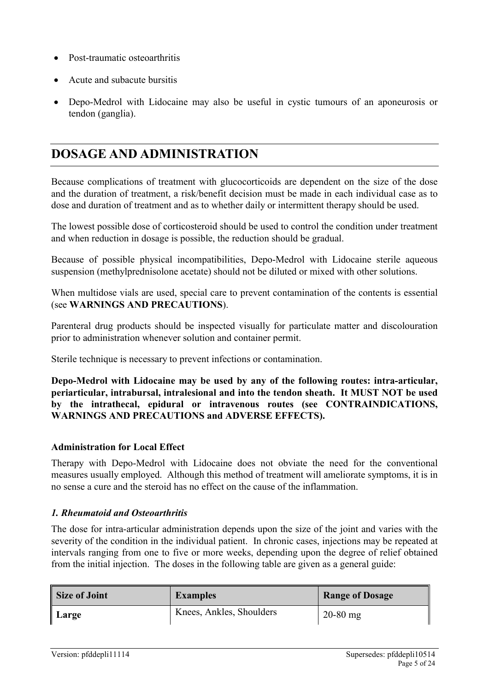- Post-traumatic osteoarthritis
- Acute and subacute bursitis
- Depo-Medrol with Lidocaine may also be useful in cystic tumours of an aponeurosis or tendon (ganglia).

## **DOSAGE AND ADMINISTRATION**

Because complications of treatment with glucocorticoids are dependent on the size of the dose and the duration of treatment, a risk/benefit decision must be made in each individual case as to dose and duration of treatment and as to whether daily or intermittent therapy should be used.

The lowest possible dose of corticosteroid should be used to control the condition under treatment and when reduction in dosage is possible, the reduction should be gradual.

Because of possible physical incompatibilities, Depo-Medrol with Lidocaine sterile aqueous suspension (methylprednisolone acetate) should not be diluted or mixed with other solutions.

When multidose vials are used, special care to prevent contamination of the contents is essential (see **WARNINGS AND PRECAUTIONS**).

Parenteral drug products should be inspected visually for particulate matter and discolouration prior to administration whenever solution and container permit.

Sterile technique is necessary to prevent infections or contamination.

**Depo-Medrol with Lidocaine may be used by any of the following routes: intra-articular, periarticular, intrabursal, intralesional and into the tendon sheath. It MUST NOT be used by the intrathecal, epidural or intravenous routes (see CONTRAINDICATIONS, WARNINGS AND PRECAUTIONS and ADVERSE EFFECTS).**

#### **Administration for Local Effect**

Therapy with Depo-Medrol with Lidocaine does not obviate the need for the conventional measures usually employed. Although this method of treatment will ameliorate symptoms, it is in no sense a cure and the steroid has no effect on the cause of the inflammation.

#### *1. Rheumatoid and Osteoarthritis*

The dose for intra-articular administration depends upon the size of the joint and varies with the severity of the condition in the individual patient. In chronic cases, injections may be repeated at intervals ranging from one to five or more weeks, depending upon the degree of relief obtained from the initial injection. The doses in the following table are given as a general guide:

| Size of Joint | <b>Examples</b>          | <b>Range of Dosage</b> |
|---------------|--------------------------|------------------------|
| Large         | Knees, Ankles, Shoulders | $20-80$ mg             |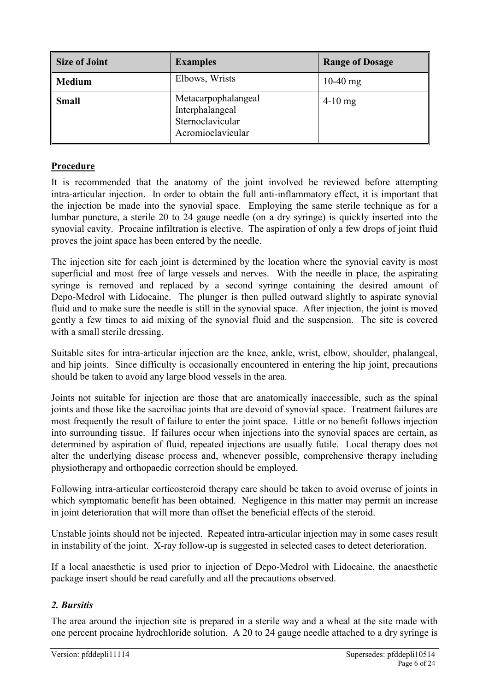| <b>Size of Joint</b> | <b>Examples</b>                                                                 | <b>Range of Dosage</b> |
|----------------------|---------------------------------------------------------------------------------|------------------------|
| <b>Medium</b>        | Elbows, Wrists                                                                  | $10-40$ mg             |
| <b>Small</b>         | Metacarpophalangeal<br>Interphalangeal<br>Sternoclavicular<br>Acromioclavicular | $4-10$ mg              |

### **Procedure**

It is recommended that the anatomy of the joint involved be reviewed before attempting intra-articular injection. In order to obtain the full anti-inflammatory effect, it is important that the injection be made into the synovial space. Employing the same sterile technique as for a lumbar puncture, a sterile 20 to 24 gauge needle (on a dry syringe) is quickly inserted into the synovial cavity. Procaine infiltration is elective. The aspiration of only a few drops of joint fluid proves the joint space has been entered by the needle.

The injection site for each joint is determined by the location where the synovial cavity is most superficial and most free of large vessels and nerves. With the needle in place, the aspirating syringe is removed and replaced by a second syringe containing the desired amount of Depo-Medrol with Lidocaine. The plunger is then pulled outward slightly to aspirate synovial fluid and to make sure the needle is still in the synovial space. After injection, the joint is moved gently a few times to aid mixing of the synovial fluid and the suspension. The site is covered with a small sterile dressing.

Suitable sites for intra-articular injection are the knee, ankle, wrist, elbow, shoulder, phalangeal, and hip joints. Since difficulty is occasionally encountered in entering the hip joint, precautions should be taken to avoid any large blood vessels in the area.

Joints not suitable for injection are those that are anatomically inaccessible, such as the spinal joints and those like the sacroiliac joints that are devoid of synovial space. Treatment failures are most frequently the result of failure to enter the joint space. Little or no benefit follows injection into surrounding tissue. If failures occur when injections into the synovial spaces are certain, as determined by aspiration of fluid, repeated injections are usually futile. Local therapy does not alter the underlying disease process and, whenever possible, comprehensive therapy including physiotherapy and orthopaedic correction should be employed.

Following intra-articular corticosteroid therapy care should be taken to avoid overuse of joints in which symptomatic benefit has been obtained. Negligence in this matter may permit an increase in joint deterioration that will more than offset the beneficial effects of the steroid.

Unstable joints should not be injected. Repeated intra-articular injection may in some cases result in instability of the joint. X-ray follow-up is suggested in selected cases to detect deterioration.

If a local anaesthetic is used prior to injection of Depo-Medrol with Lidocaine, the anaesthetic package insert should be read carefully and all the precautions observed.

#### *2. Bursitis*

The area around the injection site is prepared in a sterile way and a wheal at the site made with one percent procaine hydrochloride solution. A 20 to 24 gauge needle attached to a dry syringe is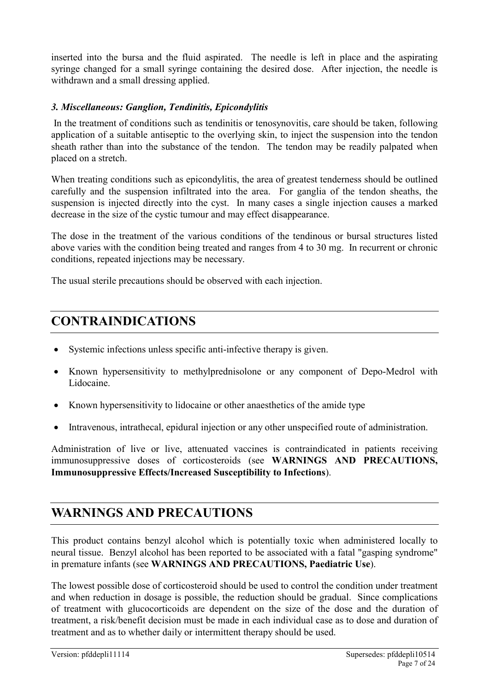inserted into the bursa and the fluid aspirated. The needle is left in place and the aspirating syringe changed for a small syringe containing the desired dose. After injection, the needle is withdrawn and a small dressing applied.

#### *3. Miscellaneous: Ganglion, Tendinitis, Epicondylitis*

In the treatment of conditions such as tendinitis or tenosynovitis, care should be taken, following application of a suitable antiseptic to the overlying skin, to inject the suspension into the tendon sheath rather than into the substance of the tendon. The tendon may be readily palpated when placed on a stretch.

When treating conditions such as epicondylitis, the area of greatest tenderness should be outlined carefully and the suspension infiltrated into the area. For ganglia of the tendon sheaths, the suspension is injected directly into the cyst. In many cases a single injection causes a marked decrease in the size of the cystic tumour and may effect disappearance.

The dose in the treatment of the various conditions of the tendinous or bursal structures listed above varies with the condition being treated and ranges from 4 to 30 mg. In recurrent or chronic conditions, repeated injections may be necessary.

The usual sterile precautions should be observed with each injection.

## **CONTRAINDICATIONS**

- Systemic infections unless specific anti-infective therapy is given.
- Known hypersensitivity to methylprednisolone or any component of Depo-Medrol with Lidocaine.
- Known hypersensitivity to lidocaine or other anaesthetics of the amide type
- Intravenous, intrathecal, epidural injection or any other unspecified route of administration.

Administration of live or live, attenuated vaccines is contraindicated in patients receiving immunosuppressive doses of corticosteroids (see **WARNINGS AND PRECAUTIONS, Immunosuppressive Effects/Increased Susceptibility to Infections**).

## **WARNINGS AND PRECAUTIONS**

This product contains benzyl alcohol which is potentially toxic when administered locally to neural tissue. Benzyl alcohol has been reported to be associated with a fatal "gasping syndrome" in premature infants (see **WARNINGS AND PRECAUTIONS, Paediatric Use**).

The lowest possible dose of corticosteroid should be used to control the condition under treatment and when reduction in dosage is possible, the reduction should be gradual. Since complications of treatment with glucocorticoids are dependent on the size of the dose and the duration of treatment, a risk/benefit decision must be made in each individual case as to dose and duration of treatment and as to whether daily or intermittent therapy should be used.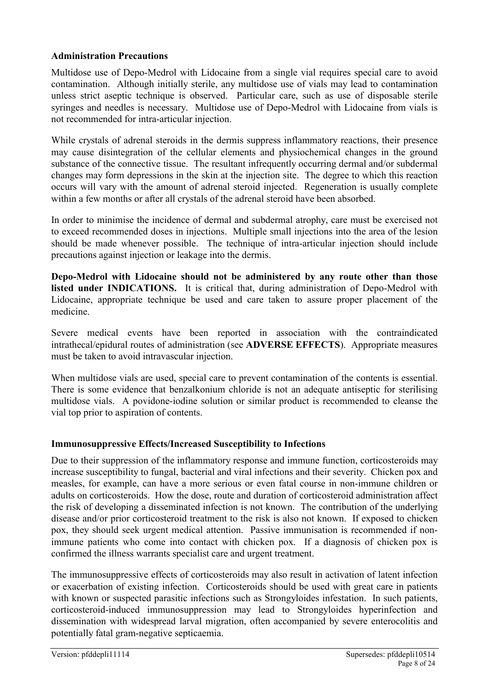#### **Administration Precautions**

Multidose use of Depo-Medrol with Lidocaine from a single vial requires special care to avoid contamination. Although initially sterile, any multidose use of vials may lead to contamination unless strict aseptic technique is observed. Particular care, such as use of disposable sterile syringes and needles is necessary. Multidose use of Depo-Medrol with Lidocaine from vials is not recommended for intra-articular injection.

While crystals of adrenal steroids in the dermis suppress inflammatory reactions, their presence may cause disintegration of the cellular elements and physiochemical changes in the ground substance of the connective tissue. The resultant infrequently occurring dermal and/or subdermal changes may form depressions in the skin at the injection site. The degree to which this reaction occurs will vary with the amount of adrenal steroid injected. Regeneration is usually complete within a few months or after all crystals of the adrenal steroid have been absorbed.

In order to minimise the incidence of dermal and subdermal atrophy, care must be exercised not to exceed recommended doses in injections. Multiple small injections into the area of the lesion should be made whenever possible. The technique of intra-articular injection should include precautions against injection or leakage into the dermis.

**Depo-Medrol with Lidocaine should not be administered by any route other than those listed under INDICATIONS.** It is critical that, during administration of Depo-Medrol with Lidocaine, appropriate technique be used and care taken to assure proper placement of the medicine.

Severe medical events have been reported in association with the contraindicated intrathecal/epidural routes of administration (see **ADVERSE EFFECTS**). Appropriate measures must be taken to avoid intravascular injection.

When multidose vials are used, special care to prevent contamination of the contents is essential. There is some evidence that benzalkonium chloride is not an adequate antiseptic for sterilising multidose vials. A povidone-iodine solution or similar product is recommended to cleanse the vial top prior to aspiration of contents.

#### **Immunosuppressive Effects/Increased Susceptibility to Infections**

Due to their suppression of the inflammatory response and immune function, corticosteroids may increase susceptibility to fungal, bacterial and viral infections and their severity. Chicken pox and measles, for example, can have a more serious or even fatal course in non-immune children or adults on corticosteroids. How the dose, route and duration of corticosteroid administration affect the risk of developing a disseminated infection is not known. The contribution of the underlying disease and/or prior corticosteroid treatment to the risk is also not known. If exposed to chicken pox, they should seek urgent medical attention. Passive immunisation is recommended if nonimmune patients who come into contact with chicken pox. If a diagnosis of chicken pox is confirmed the illness warrants specialist care and urgent treatment.

The immunosuppressive effects of corticosteroids may also result in activation of latent infection or exacerbation of existing infection. Corticosteroids should be used with great care in patients with known or suspected parasitic infections such as Strongyloides infestation. In such patients, corticosteroid-induced immunosuppression may lead to Strongyloides hyperinfection and dissemination with widespread larval migration, often accompanied by severe enterocolitis and potentially fatal gram-negative septicaemia.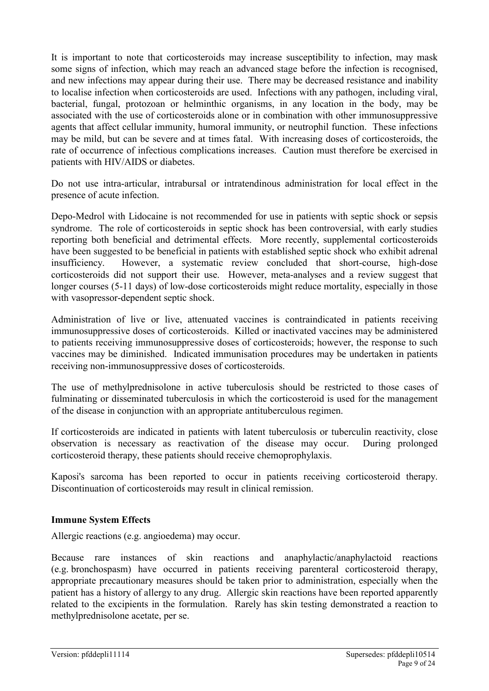It is important to note that corticosteroids may increase susceptibility to infection, may mask some signs of infection, which may reach an advanced stage before the infection is recognised, and new infections may appear during their use. There may be decreased resistance and inability to localise infection when corticosteroids are used. Infections with any pathogen, including viral, bacterial, fungal, protozoan or helminthic organisms, in any location in the body, may be associated with the use of corticosteroids alone or in combination with other immunosuppressive agents that affect cellular immunity, humoral immunity, or neutrophil function. These infections may be mild, but can be severe and at times fatal. With increasing doses of corticosteroids, the rate of occurrence of infectious complications increases. Caution must therefore be exercised in patients with HIV/AIDS or diabetes.

Do not use intra-articular, intrabursal or intratendinous administration for local effect in the presence of acute infection.

Depo-Medrol with Lidocaine is not recommended for use in patients with septic shock or sepsis syndrome. The role of corticosteroids in septic shock has been controversial, with early studies reporting both beneficial and detrimental effects. More recently, supplemental corticosteroids have been suggested to be beneficial in patients with established septic shock who exhibit adrenal insufficiency. However, a systematic review concluded that short-course, high-dose corticosteroids did not support their use. However, meta-analyses and a review suggest that longer courses (5-11 days) of low-dose corticosteroids might reduce mortality, especially in those with vasopressor-dependent septic shock.

Administration of live or live, attenuated vaccines is contraindicated in patients receiving immunosuppressive doses of corticosteroids. Killed or inactivated vaccines may be administered to patients receiving immunosuppressive doses of corticosteroids; however, the response to such vaccines may be diminished. Indicated immunisation procedures may be undertaken in patients receiving non-immunosuppressive doses of corticosteroids.

The use of methylprednisolone in active tuberculosis should be restricted to those cases of fulminating or disseminated tuberculosis in which the corticosteroid is used for the management of the disease in conjunction with an appropriate antituberculous regimen.

If corticosteroids are indicated in patients with latent tuberculosis or tuberculin reactivity, close observation is necessary as reactivation of the disease may occur. During prolonged corticosteroid therapy, these patients should receive chemoprophylaxis.

Kaposi's sarcoma has been reported to occur in patients receiving corticosteroid therapy. Discontinuation of corticosteroids may result in clinical remission.

#### **Immune System Effects**

Allergic reactions (e.g. angioedema) may occur.

Because rare instances of skin reactions and anaphylactic/anaphylactoid reactions (e.g. bronchospasm) have occurred in patients receiving parenteral corticosteroid therapy, appropriate precautionary measures should be taken prior to administration, especially when the patient has a history of allergy to any drug. Allergic skin reactions have been reported apparently related to the excipients in the formulation. Rarely has skin testing demonstrated a reaction to methylprednisolone acetate, per se.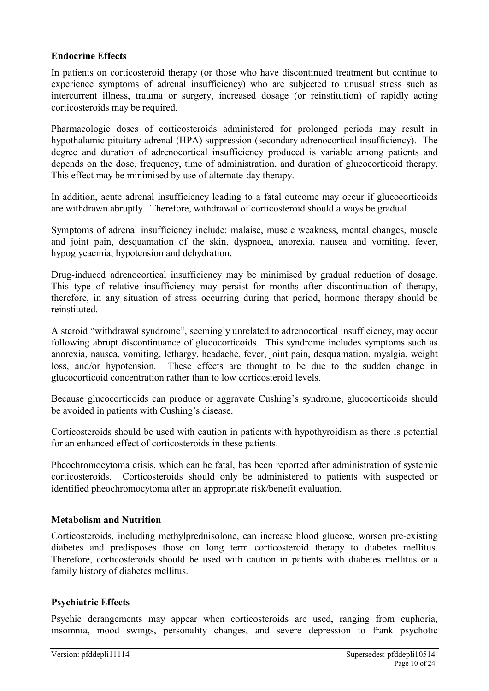#### **Endocrine Effects**

In patients on corticosteroid therapy (or those who have discontinued treatment but continue to experience symptoms of adrenal insufficiency) who are subjected to unusual stress such as intercurrent illness, trauma or surgery, increased dosage (or reinstitution) of rapidly acting corticosteroids may be required.

Pharmacologic doses of corticosteroids administered for prolonged periods may result in hypothalamic-pituitary-adrenal (HPA) suppression (secondary adrenocortical insufficiency). The degree and duration of adrenocortical insufficiency produced is variable among patients and depends on the dose, frequency, time of administration, and duration of glucocorticoid therapy. This effect may be minimised by use of alternate-day therapy.

In addition, acute adrenal insufficiency leading to a fatal outcome may occur if glucocorticoids are withdrawn abruptly. Therefore, withdrawal of corticosteroid should always be gradual.

Symptoms of adrenal insufficiency include: malaise, muscle weakness, mental changes, muscle and joint pain, desquamation of the skin, dyspnoea, anorexia, nausea and vomiting, fever, hypoglycaemia, hypotension and dehydration.

Drug-induced adrenocortical insufficiency may be minimised by gradual reduction of dosage. This type of relative insufficiency may persist for months after discontinuation of therapy, therefore, in any situation of stress occurring during that period, hormone therapy should be reinstituted.

A steroid "withdrawal syndrome", seemingly unrelated to adrenocortical insufficiency, may occur following abrupt discontinuance of glucocorticoids. This syndrome includes symptoms such as anorexia, nausea, vomiting, lethargy, headache, fever, joint pain, desquamation, myalgia, weight loss, and/or hypotension. These effects are thought to be due to the sudden change in glucocorticoid concentration rather than to low corticosteroid levels.

Because glucocorticoids can produce or aggravate Cushing's syndrome, glucocorticoids should be avoided in patients with Cushing's disease.

Corticosteroids should be used with caution in patients with hypothyroidism as there is potential for an enhanced effect of corticosteroids in these patients.

Pheochromocytoma crisis, which can be fatal, has been reported after administration of systemic corticosteroids. Corticosteroids should only be administered to patients with suspected or identified pheochromocytoma after an appropriate risk/benefit evaluation.

#### **Metabolism and Nutrition**

Corticosteroids, including methylprednisolone, can increase blood glucose, worsen pre-existing diabetes and predisposes those on long term corticosteroid therapy to diabetes mellitus. Therefore, corticosteroids should be used with caution in patients with diabetes mellitus or a family history of diabetes mellitus.

#### **Psychiatric Effects**

Psychic derangements may appear when corticosteroids are used, ranging from euphoria, insomnia, mood swings, personality changes, and severe depression to frank psychotic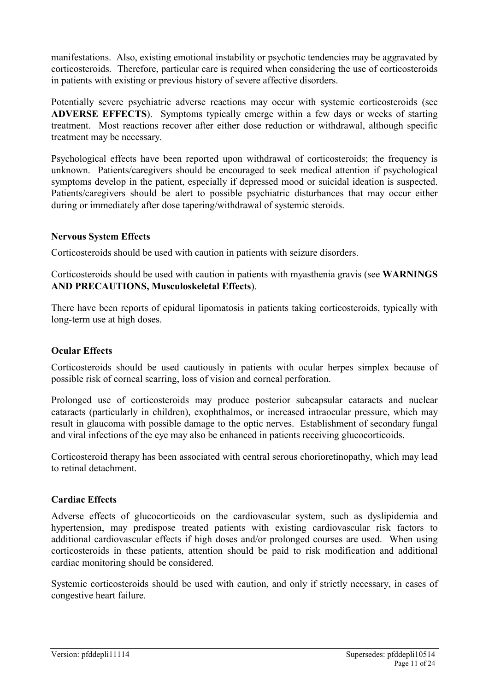manifestations. Also, existing emotional instability or psychotic tendencies may be aggravated by corticosteroids. Therefore, particular care is required when considering the use of corticosteroids in patients with existing or previous history of severe affective disorders.

Potentially severe psychiatric adverse reactions may occur with systemic corticosteroids (see **ADVERSE EFFECTS**). Symptoms typically emerge within a few days or weeks of starting treatment. Most reactions recover after either dose reduction or withdrawal, although specific treatment may be necessary.

Psychological effects have been reported upon withdrawal of corticosteroids; the frequency is unknown. Patients/caregivers should be encouraged to seek medical attention if psychological symptoms develop in the patient, especially if depressed mood or suicidal ideation is suspected. Patients/caregivers should be alert to possible psychiatric disturbances that may occur either during or immediately after dose tapering/withdrawal of systemic steroids.

#### **Nervous System Effects**

Corticosteroids should be used with caution in patients with seizure disorders.

Corticosteroids should be used with caution in patients with myasthenia gravis (see **WARNINGS AND PRECAUTIONS, Musculoskeletal Effects**).

There have been reports of epidural lipomatosis in patients taking corticosteroids, typically with long-term use at high doses.

#### **Ocular Effects**

Corticosteroids should be used cautiously in patients with ocular herpes simplex because of possible risk of corneal scarring, loss of vision and corneal perforation.

Prolonged use of corticosteroids may produce posterior subcapsular cataracts and nuclear cataracts (particularly in children), exophthalmos, or increased intraocular pressure, which may result in glaucoma with possible damage to the optic nerves. Establishment of secondary fungal and viral infections of the eye may also be enhanced in patients receiving glucocorticoids.

Corticosteroid therapy has been associated with central serous chorioretinopathy, which may lead to retinal detachment.

#### **Cardiac Effects**

Adverse effects of glucocorticoids on the cardiovascular system, such as dyslipidemia and hypertension, may predispose treated patients with existing cardiovascular risk factors to additional cardiovascular effects if high doses and/or prolonged courses are used. When using corticosteroids in these patients, attention should be paid to risk modification and additional cardiac monitoring should be considered.

Systemic corticosteroids should be used with caution, and only if strictly necessary, in cases of congestive heart failure.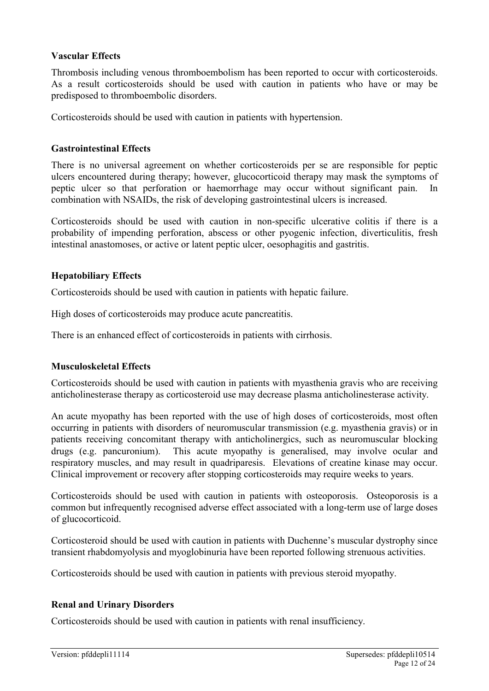#### **Vascular Effects**

Thrombosis including venous thromboembolism has been reported to occur with corticosteroids. As a result corticosteroids should be used with caution in patients who have or may be predisposed to thromboembolic disorders.

Corticosteroids should be used with caution in patients with hypertension.

#### **Gastrointestinal Effects**

There is no universal agreement on whether corticosteroids per se are responsible for peptic ulcers encountered during therapy; however, glucocorticoid therapy may mask the symptoms of peptic ulcer so that perforation or haemorrhage may occur without significant pain. In combination with NSAIDs, the risk of developing gastrointestinal ulcers is increased.

Corticosteroids should be used with caution in non-specific ulcerative colitis if there is a probability of impending perforation, abscess or other pyogenic infection, diverticulitis, fresh intestinal anastomoses, or active or latent peptic ulcer, oesophagitis and gastritis.

#### **Hepatobiliary Effects**

Corticosteroids should be used with caution in patients with hepatic failure.

High doses of corticosteroids may produce acute pancreatitis.

There is an enhanced effect of corticosteroids in patients with cirrhosis.

#### **Musculoskeletal Effects**

Corticosteroids should be used with caution in patients with myasthenia gravis who are receiving anticholinesterase therapy as corticosteroid use may decrease plasma anticholinesterase activity.

An acute myopathy has been reported with the use of high doses of corticosteroids, most often occurring in patients with disorders of neuromuscular transmission (e.g. myasthenia gravis) or in patients receiving concomitant therapy with anticholinergics, such as neuromuscular blocking drugs (e.g. pancuronium). This acute myopathy is generalised, may involve ocular and respiratory muscles, and may result in quadriparesis. Elevations of creatine kinase may occur. Clinical improvement or recovery after stopping corticosteroids may require weeks to years.

Corticosteroids should be used with caution in patients with osteoporosis. Osteoporosis is a common but infrequently recognised adverse effect associated with a long-term use of large doses of glucocorticoid.

Corticosteroid should be used with caution in patients with Duchenne's muscular dystrophy since transient rhabdomyolysis and myoglobinuria have been reported following strenuous activities.

Corticosteroids should be used with caution in patients with previous steroid myopathy.

#### **Renal and Urinary Disorders**

Corticosteroids should be used with caution in patients with renal insufficiency.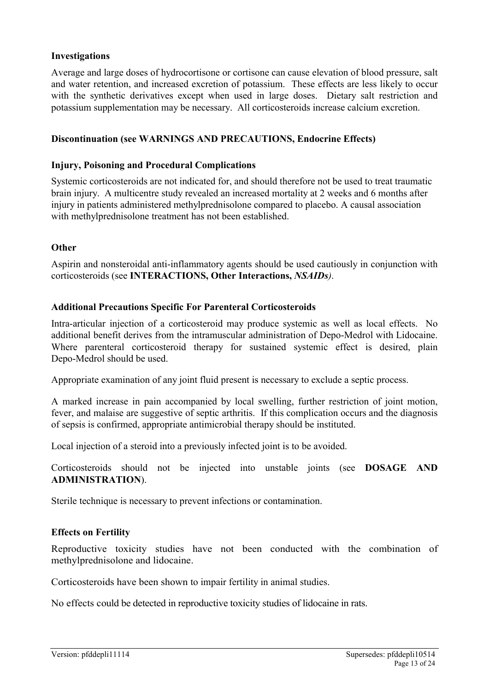#### **Investigations**

Average and large doses of hydrocortisone or cortisone can cause elevation of blood pressure, salt and water retention, and increased excretion of potassium. These effects are less likely to occur with the synthetic derivatives except when used in large doses. Dietary salt restriction and potassium supplementation may be necessary. All corticosteroids increase calcium excretion.

#### **Discontinuation (see WARNINGS AND PRECAUTIONS, Endocrine Effects)**

#### **Injury, Poisoning and Procedural Complications**

Systemic corticosteroids are not indicated for, and should therefore not be used to treat traumatic brain injury. A multicentre study revealed an increased mortality at 2 weeks and 6 months after injury in patients administered methylprednisolone compared to placebo. A causal association with methylprednisolone treatment has not been established.

#### **Other**

Aspirin and nonsteroidal anti-inflammatory agents should be used cautiously in conjunction with corticosteroids (see **INTERACTIONS, Other Interactions,** *NSAIDs)*.

#### **Additional Precautions Specific For Parenteral Corticosteroids**

Intra-articular injection of a corticosteroid may produce systemic as well as local effects. No additional benefit derives from the intramuscular administration of Depo-Medrol with Lidocaine. Where parenteral corticosteroid therapy for sustained systemic effect is desired, plain Depo-Medrol should be used.

Appropriate examination of any joint fluid present is necessary to exclude a septic process.

A marked increase in pain accompanied by local swelling, further restriction of joint motion, fever, and malaise are suggestive of septic arthritis. If this complication occurs and the diagnosis of sepsis is confirmed, appropriate antimicrobial therapy should be instituted.

Local injection of a steroid into a previously infected joint is to be avoided.

Corticosteroids should not be injected into unstable joints (see **DOSAGE AND ADMINISTRATION**).

Sterile technique is necessary to prevent infections or contamination.

#### **Effects on Fertility**

Reproductive toxicity studies have not been conducted with the combination of methylprednisolone and lidocaine.

Corticosteroids have been shown to impair fertility in animal studies.

No effects could be detected in reproductive toxicity studies of lidocaine in rats.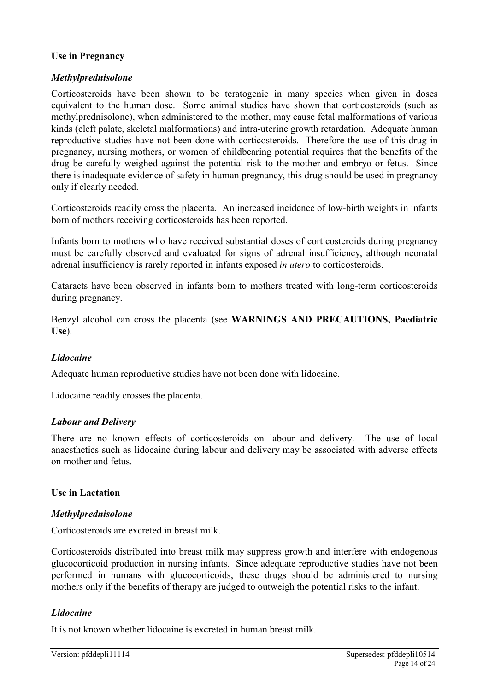#### **Use in Pregnancy**

#### *Methylprednisolone*

Corticosteroids have been shown to be teratogenic in many species when given in doses equivalent to the human dose. Some animal studies have shown that corticosteroids (such as methylprednisolone), when administered to the mother, may cause fetal malformations of various kinds (cleft palate, skeletal malformations) and intra-uterine growth retardation. Adequate human reproductive studies have not been done with corticosteroids. Therefore the use of this drug in pregnancy, nursing mothers, or women of childbearing potential requires that the benefits of the drug be carefully weighed against the potential risk to the mother and embryo or fetus. Since there is inadequate evidence of safety in human pregnancy, this drug should be used in pregnancy only if clearly needed.

Corticosteroids readily cross the placenta. An increased incidence of low-birth weights in infants born of mothers receiving corticosteroids has been reported.

Infants born to mothers who have received substantial doses of corticosteroids during pregnancy must be carefully observed and evaluated for signs of adrenal insufficiency, although neonatal adrenal insufficiency is rarely reported in infants exposed *in utero* to corticosteroids.

Cataracts have been observed in infants born to mothers treated with long-term corticosteroids during pregnancy.

Benzyl alcohol can cross the placenta (see **WARNINGS AND PRECAUTIONS, Paediatric Use**).

#### *Lidocaine*

Adequate human reproductive studies have not been done with lidocaine.

Lidocaine readily crosses the placenta.

#### *Labour and Delivery*

There are no known effects of corticosteroids on labour and delivery. The use of local anaesthetics such as lidocaine during labour and delivery may be associated with adverse effects on mother and fetus.

#### **Use in Lactation**

#### *Methylprednisolone*

Corticosteroids are excreted in breast milk.

Corticosteroids distributed into breast milk may suppress growth and interfere with endogenous glucocorticoid production in nursing infants. Since adequate reproductive studies have not been performed in humans with glucocorticoids, these drugs should be administered to nursing mothers only if the benefits of therapy are judged to outweigh the potential risks to the infant.

#### *Lidocaine*

It is not known whether lidocaine is excreted in human breast milk.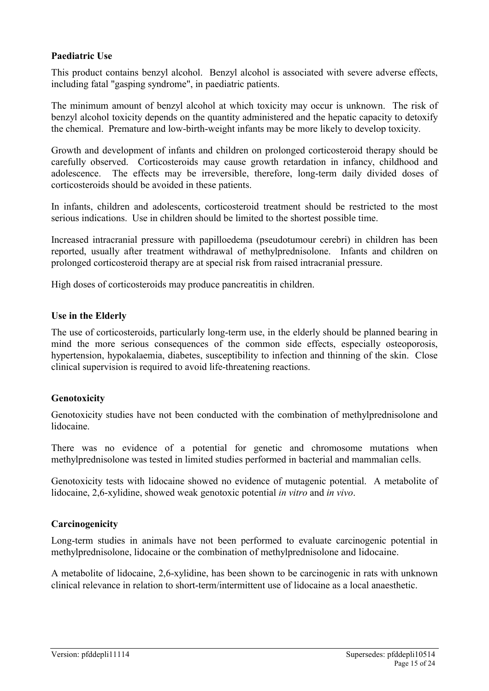#### **Paediatric Use**

This product contains benzyl alcohol. Benzyl alcohol is associated with severe adverse effects, including fatal "gasping syndrome", in paediatric patients.

The minimum amount of benzyl alcohol at which toxicity may occur is unknown. The risk of benzyl alcohol toxicity depends on the quantity administered and the hepatic capacity to detoxify the chemical. Premature and low-birth-weight infants may be more likely to develop toxicity.

Growth and development of infants and children on prolonged corticosteroid therapy should be carefully observed. Corticosteroids may cause growth retardation in infancy, childhood and adolescence. The effects may be irreversible, therefore, long-term daily divided doses of corticosteroids should be avoided in these patients.

In infants, children and adolescents, corticosteroid treatment should be restricted to the most serious indications. Use in children should be limited to the shortest possible time.

Increased intracranial pressure with papilloedema (pseudotumour cerebri) in children has been reported, usually after treatment withdrawal of methylprednisolone. Infants and children on prolonged corticosteroid therapy are at special risk from raised intracranial pressure.

High doses of corticosteroids may produce pancreatitis in children.

#### **Use in the Elderly**

The use of corticosteroids, particularly long-term use, in the elderly should be planned bearing in mind the more serious consequences of the common side effects, especially osteoporosis, hypertension, hypokalaemia, diabetes, susceptibility to infection and thinning of the skin. Close clinical supervision is required to avoid life-threatening reactions.

#### **Genotoxicity**

Genotoxicity studies have not been conducted with the combination of methylprednisolone and lidocaine.

There was no evidence of a potential for genetic and chromosome mutations when methylprednisolone was tested in limited studies performed in bacterial and mammalian cells.

Genotoxicity tests with lidocaine showed no evidence of mutagenic potential. A metabolite of lidocaine, 2,6-xylidine, showed weak genotoxic potential *in vitro* and *in vivo*.

#### **Carcinogenicity**

Long-term studies in animals have not been performed to evaluate carcinogenic potential in methylprednisolone, lidocaine or the combination of methylprednisolone and lidocaine.

A metabolite of lidocaine, 2,6-xylidine, has been shown to be carcinogenic in rats with unknown clinical relevance in relation to short-term/intermittent use of lidocaine as a local anaesthetic.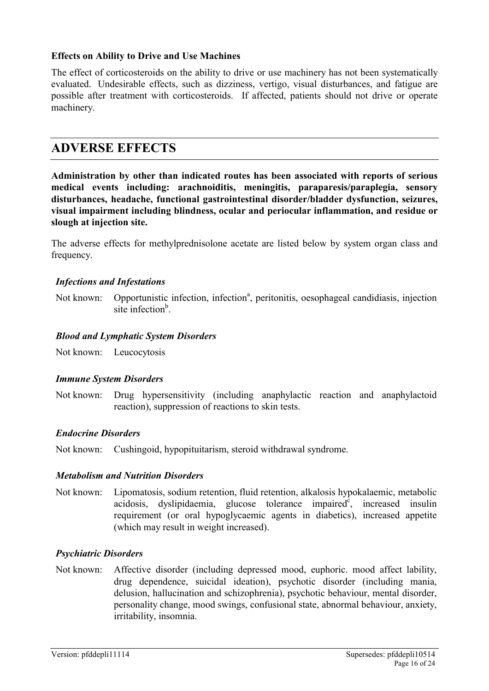#### **Effects on Ability to Drive and Use Machines**

The effect of corticosteroids on the ability to drive or use machinery has not been systematically evaluated. Undesirable effects, such as dizziness, vertigo, visual disturbances, and fatigue are possible after treatment with corticosteroids. If affected, patients should not drive or operate machinery.

### **ADVERSE EFFECTS**

**Administration by other than indicated routes has been associated with reports of serious medical events including: arachnoiditis, meningitis, paraparesis/paraplegia, sensory disturbances, headache, functional gastrointestinal disorder/bladder dysfunction, seizures, visual impairment including blindness, ocular and periocular inflammation, and residue or slough at injection site.**

The adverse effects for methylprednisolone acetate are listed below by system organ class and frequency.

#### *Infections and Infestations*

Not known: Opportunistic infection, infection<sup>a</sup>, peritonitis, oesophageal candidiasis, injection site infection<sup>b</sup>.

#### *Blood and Lymphatic System Disorders*

Not known: Leucocytosis

#### *Immune System Disorders*

Not known: Drug hypersensitivity (including anaphylactic reaction and anaphylactoid reaction), suppression of reactions to skin tests.

#### *Endocrine Disorders*

Not known: Cushingoid, hypopituitarism, steroid withdrawal syndrome.

#### *Metabolism and Nutrition Disorders*

Not known: Lipomatosis, sodium retention, fluid retention, alkalosis hypokalaemic, metabolic  $acidosis,$  dyslipidaemia, glucose tolerance impaired $\bar{c}$ , increased insulin requirement (or oral hypoglycaemic agents in diabetics), increased appetite (which may result in weight increased).

#### *Psychiatric Disorders*

Not known: Affective disorder (including depressed mood, euphoric. mood affect lability, drug dependence, suicidal ideation), psychotic disorder (including mania, delusion, hallucination and schizophrenia), psychotic behaviour, mental disorder, personality change, mood swings, confusional state, abnormal behaviour, anxiety, irritability, insomnia.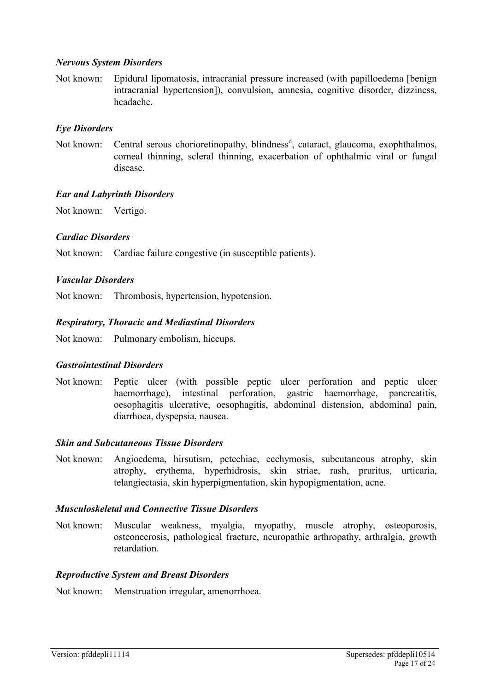#### *Nervous System Disorders*

Not known: Epidural lipomatosis, intracranial pressure increased (with papilloedema [benign intracranial hypertension]), convulsion, amnesia, cognitive disorder, dizziness, headache.

#### *Eye Disorders*

Not known: Central serous chorioretinopathy, blindness<sup>d</sup>, cataract, glaucoma, exophthalmos, corneal thinning, scleral thinning, exacerbation of ophthalmic viral or fungal disease.

#### *Ear and Labyrinth Disorders*

Not known: Vertigo.

#### *Cardiac Disorders*

Not known: Cardiac failure congestive (in susceptible patients).

#### *Vascular Disorders*

Not known: Thrombosis, hypertension, hypotension.

#### *Respiratory, Thoracic and Mediastinal Disorders*

Not known: Pulmonary embolism, hiccups.

#### *Gastrointestinal Disorders*

Not known: Peptic ulcer (with possible peptic ulcer perforation and peptic ulcer haemorrhage), intestinal perforation, gastric haemorrhage, pancreatitis, oesophagitis ulcerative, oesophagitis, abdominal distension, abdominal pain, diarrhoea, dyspepsia, nausea.

#### *Skin and Subcutaneous Tissue Disorders*

Not known: Angioedema, hirsutism, petechiae, ecchymosis, subcutaneous atrophy, skin atrophy, erythema, hyperhidrosis, skin striae, rash, pruritus, urticaria, telangiectasia, skin hyperpigmentation, skin hypopigmentation, acne.

#### *Musculoskeletal and Connective Tissue Disorders*

Not known: Muscular weakness, myalgia, myopathy, muscle atrophy, osteoporosis, osteonecrosis, pathological fracture, neuropathic arthropathy, arthralgia, growth retardation.

#### *Reproductive System and Breast Disorders*

Not known: Menstruation irregular, amenorrhoea.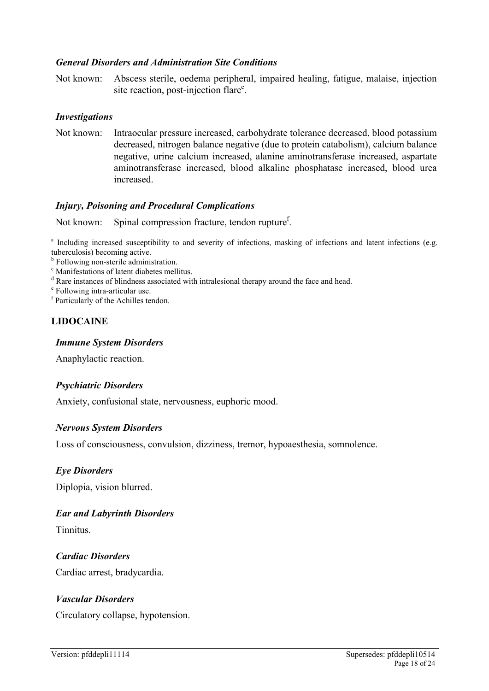#### *General Disorders and Administration Site Conditions*

Not known: Abscess sterile, oedema peripheral, impaired healing, fatigue, malaise, injection site reaction, post-injection flare<sup>e</sup>.

#### *Investigations*

Not known: Intraocular pressure increased, carbohydrate tolerance decreased, blood potassium decreased, nitrogen balance negative (due to protein catabolism), calcium balance negative, urine calcium increased, alanine aminotransferase increased, aspartate aminotransferase increased, blood alkaline phosphatase increased, blood urea increased.

#### *Injury, Poisoning and Procedural Complications*

Not known: Spinal compression fracture, tendon rupture<sup>f</sup>.

<sup>a</sup> Including increased susceptibility to and severity of infections, masking of infections and latent infections (e.g. tuberculosis) becoming active.

<sup>b</sup> Following non-sterile administration.

<sup>c</sup> Manifestations of latent diabetes mellitus.

<sup>d</sup> Rare instances of blindness associated with intralesional therapy around the face and head.

e Following intra-articular use.

f Particularly of the Achilles tendon.

#### **LIDOCAINE**

#### *Immune System Disorders*

Anaphylactic reaction.

#### *Psychiatric Disorders*

Anxiety, confusional state, nervousness, euphoric mood.

#### *Nervous System Disorders*

Loss of consciousness, convulsion, dizziness, tremor, hypoaesthesia, somnolence.

#### *Eye Disorders*

Diplopia, vision blurred.

#### *Ear and Labyrinth Disorders*

Tinnitus.

*Cardiac Disorders* Cardiac arrest, bradycardia.

#### *Vascular Disorders*

Circulatory collapse, hypotension.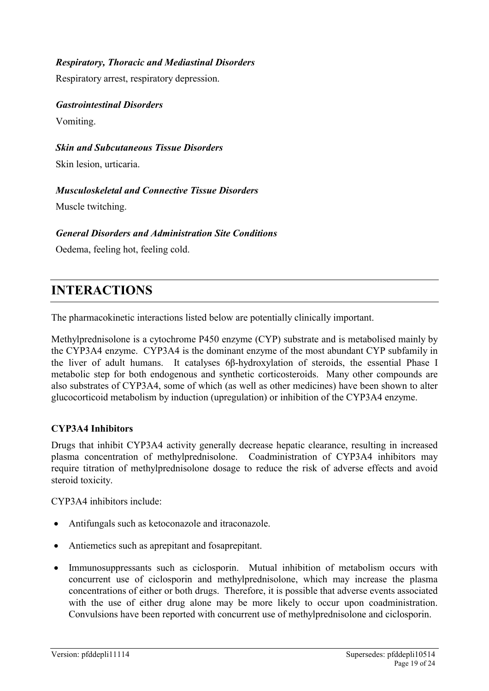#### *Respiratory, Thoracic and Mediastinal Disorders*

Respiratory arrest, respiratory depression.

#### *Gastrointestinal Disorders*

Vomiting.

#### *Skin and Subcutaneous Tissue Disorders*

Skin lesion, urticaria.

#### *Musculoskeletal and Connective Tissue Disorders*

Muscle twitching.

#### *General Disorders and Administration Site Conditions*

Oedema, feeling hot, feeling cold.

## **INTERACTIONS**

The pharmacokinetic interactions listed below are potentially clinically important.

Methylprednisolone is a cytochrome P450 enzyme (CYP) substrate and is metabolised mainly by the CYP3A4 enzyme. CYP3A4 is the dominant enzyme of the most abundant CYP subfamily in the liver of adult humans. It catalyses 6β-hydroxylation of steroids, the essential Phase I metabolic step for both endogenous and synthetic corticosteroids. Many other compounds are also substrates of CYP3A4, some of which (as well as other medicines) have been shown to alter glucocorticoid metabolism by induction (upregulation) or inhibition of the CYP3A4 enzyme.

#### **CYP3A4 Inhibitors**

Drugs that inhibit CYP3A4 activity generally decrease hepatic clearance, resulting in increased plasma concentration of methylprednisolone. Coadministration of CYP3A4 inhibitors may require titration of methylprednisolone dosage to reduce the risk of adverse effects and avoid steroid toxicity.

CYP3A4 inhibitors include:

- Antifungals such as ketoconazole and itraconazole.
- Antiemetics such as aprepitant and fosaprepitant.
- Immunosuppressants such as ciclosporin. Mutual inhibition of metabolism occurs with concurrent use of ciclosporin and methylprednisolone, which may increase the plasma concentrations of either or both drugs. Therefore, it is possible that adverse events associated with the use of either drug alone may be more likely to occur upon coadministration. Convulsions have been reported with concurrent use of methylprednisolone and ciclosporin.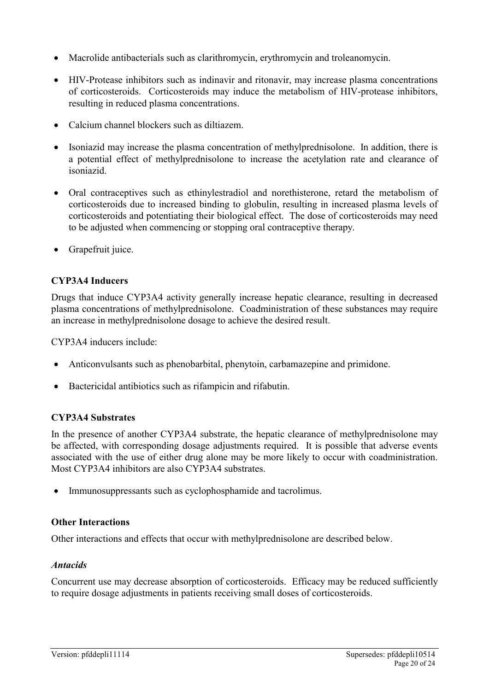- Macrolide antibacterials such as clarithromycin, erythromycin and troleanomycin.
- HIV-Protease inhibitors such as indinavir and ritonavir, may increase plasma concentrations of corticosteroids. Corticosteroids may induce the metabolism of HIV-protease inhibitors, resulting in reduced plasma concentrations.
- Calcium channel blockers such as diltiazem.
- Isoniazid may increase the plasma concentration of methylprednisolone. In addition, there is a potential effect of methylprednisolone to increase the acetylation rate and clearance of isoniazid.
- Oral contraceptives such as ethinylestradiol and norethisterone, retard the metabolism of corticosteroids due to increased binding to globulin, resulting in increased plasma levels of corticosteroids and potentiating their biological effect. The dose of corticosteroids may need to be adjusted when commencing or stopping oral contraceptive therapy.
- Grapefruit juice.

### **CYP3A4 Inducers**

Drugs that induce CYP3A4 activity generally increase hepatic clearance, resulting in decreased plasma concentrations of methylprednisolone. Coadministration of these substances may require an increase in methylprednisolone dosage to achieve the desired result.

CYP3A4 inducers include:

- Anticonvulsants such as phenobarbital, phenytoin, carbamazepine and primidone.
- Bactericidal antibiotics such as rifampicin and rifabutin.

#### **CYP3A4 Substrates**

In the presence of another CYP3A4 substrate, the hepatic clearance of methylprednisolone may be affected, with corresponding dosage adjustments required. It is possible that adverse events associated with the use of either drug alone may be more likely to occur with coadministration. Most CYP3A4 inhibitors are also CYP3A4 substrates.

• Immunosuppressants such as cyclophosphamide and tacrolimus.

#### **Other Interactions**

Other interactions and effects that occur with methylprednisolone are described below.

#### *Antacids*

Concurrent use may decrease absorption of corticosteroids. Efficacy may be reduced sufficiently to require dosage adjustments in patients receiving small doses of corticosteroids.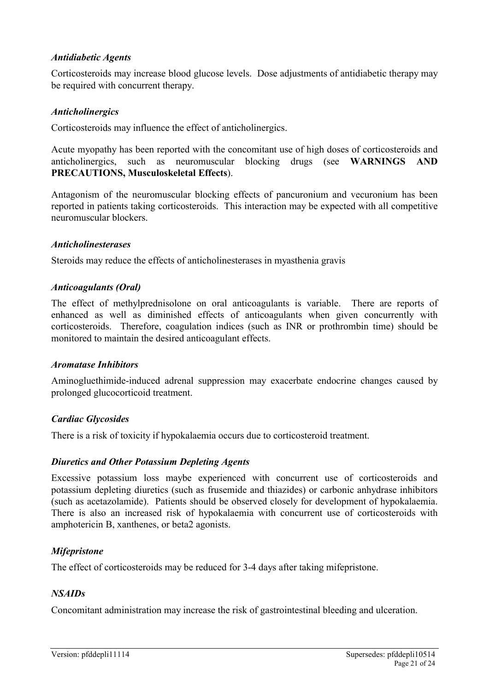#### *Antidiabetic Agents*

Corticosteroids may increase blood glucose levels. Dose adjustments of antidiabetic therapy may be required with concurrent therapy.

#### *Anticholinergics*

Corticosteroids may influence the effect of anticholinergics.

Acute myopathy has been reported with the concomitant use of high doses of corticosteroids and anticholinergics, such as neuromuscular blocking drugs (see **WARNINGS AND PRECAUTIONS, Musculoskeletal Effects**).

Antagonism of the neuromuscular blocking effects of pancuronium and vecuronium has been reported in patients taking corticosteroids. This interaction may be expected with all competitive neuromuscular blockers.

#### *Anticholinesterases*

Steroids may reduce the effects of anticholinesterases in myasthenia gravis

#### *Anticoagulants (Oral)*

The effect of methylprednisolone on oral anticoagulants is variable. There are reports of enhanced as well as diminished effects of anticoagulants when given concurrently with corticosteroids. Therefore, coagulation indices (such as INR or prothrombin time) should be monitored to maintain the desired anticoagulant effects.

#### *Aromatase Inhibitors*

Aminogluethimide-induced adrenal suppression may exacerbate endocrine changes caused by prolonged glucocorticoid treatment.

#### *Cardiac Glycosides*

There is a risk of toxicity if hypokalaemia occurs due to corticosteroid treatment.

#### *Diuretics and Other Potassium Depleting Agents*

Excessive potassium loss maybe experienced with concurrent use of corticosteroids and potassium depleting diuretics (such as frusemide and thiazides) or carbonic anhydrase inhibitors (such as acetazolamide). Patients should be observed closely for development of hypokalaemia. There is also an increased risk of hypokalaemia with concurrent use of corticosteroids with amphotericin B, xanthenes, or beta2 agonists.

#### *Mifepristone*

The effect of corticosteroids may be reduced for 3-4 days after taking mifepristone.

#### *NSAIDs*

Concomitant administration may increase the risk of gastrointestinal bleeding and ulceration.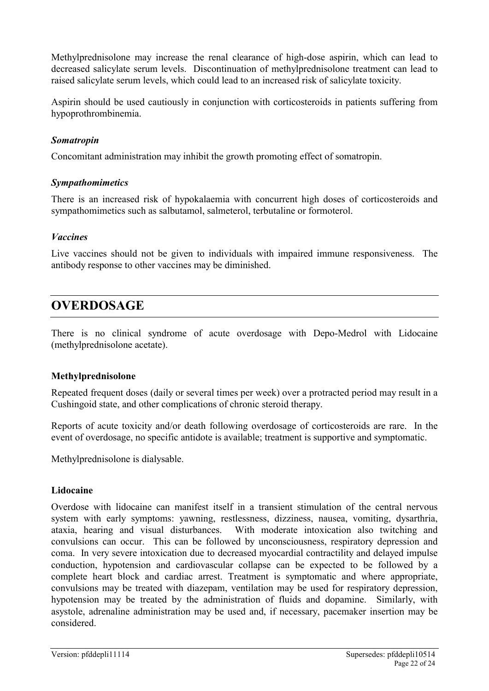Methylprednisolone may increase the renal clearance of high-dose aspirin, which can lead to decreased salicylate serum levels. Discontinuation of methylprednisolone treatment can lead to raised salicylate serum levels, which could lead to an increased risk of salicylate toxicity.

Aspirin should be used cautiously in conjunction with corticosteroids in patients suffering from hypoprothrombinemia.

#### *Somatropin*

Concomitant administration may inhibit the growth promoting effect of somatropin.

#### *Sympathomimetics*

There is an increased risk of hypokalaemia with concurrent high doses of corticosteroids and sympathomimetics such as salbutamol, salmeterol, terbutaline or formoterol.

#### *Vaccines*

Live vaccines should not be given to individuals with impaired immune responsiveness. The antibody response to other vaccines may be diminished.

## **OVERDOSAGE**

There is no clinical syndrome of acute overdosage with Depo-Medrol with Lidocaine (methylprednisolone acetate).

#### **Methylprednisolone**

Repeated frequent doses (daily or several times per week) over a protracted period may result in a Cushingoid state, and other complications of chronic steroid therapy.

Reports of acute toxicity and/or death following overdosage of corticosteroids are rare. In the event of overdosage, no specific antidote is available; treatment is supportive and symptomatic.

Methylprednisolone is dialysable.

#### **Lidocaine**

Overdose with lidocaine can manifest itself in a transient stimulation of the central nervous system with early symptoms: yawning, restlessness, dizziness, nausea, vomiting, dysarthria, ataxia, hearing and visual disturbances. With moderate intoxication also twitching and convulsions can occur. This can be followed by unconsciousness, respiratory depression and coma. In very severe intoxication due to decreased myocardial contractility and delayed impulse conduction, hypotension and cardiovascular collapse can be expected to be followed by a complete heart block and cardiac arrest. Treatment is symptomatic and where appropriate, convulsions may be treated with diazepam, ventilation may be used for respiratory depression, hypotension may be treated by the administration of fluids and dopamine. Similarly, with asystole, adrenaline administration may be used and, if necessary, pacemaker insertion may be considered.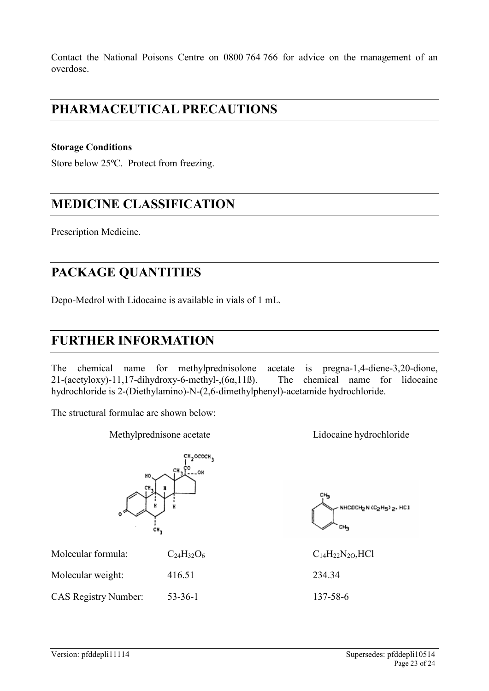Contact the National Poisons Centre on 0800 764 766 for advice on the management of an overdose.

### **PHARMACEUTICAL PRECAUTIONS**

#### **Storage Conditions**

Store below 25ºC. Protect from freezing.

### **MEDICINE CLASSIFICATION**

Prescription Medicine.

## **PACKAGE QUANTITIES**

Depo-Medrol with Lidocaine is available in vials of 1 mL.

### **FURTHER INFORMATION**

The chemical name for methylprednisolone acetate is pregna-1,4-diene-3,20-dione, 21-(acetyloxy)-11,17-dihydroxy-6-methyl-,(6α,11ß). The chemical name for lidocaine hydrochloride is 2-(Diethylamino)-N-(2,6-dimethylphenyl)-acetamide hydrochloride.

The structural formulae are shown below:

Methylprednisone acetate Lidocaine hydrochloride



| Molecular formula:          | $C_{24}H_{32}O_6$ | $C_{14}H_{22}N_2$ |
|-----------------------------|-------------------|-------------------|
| Molecular weight:           | 416.51            | 234.34            |
| <b>CAS Registry Number:</b> | $53 - 36 - 1$     | 137-58-6          |

NHCOCH2N (C2H5) 2. HC1 CH<sub>3</sub>

 $C_{14}H_{22}N_{20}$ , HCl